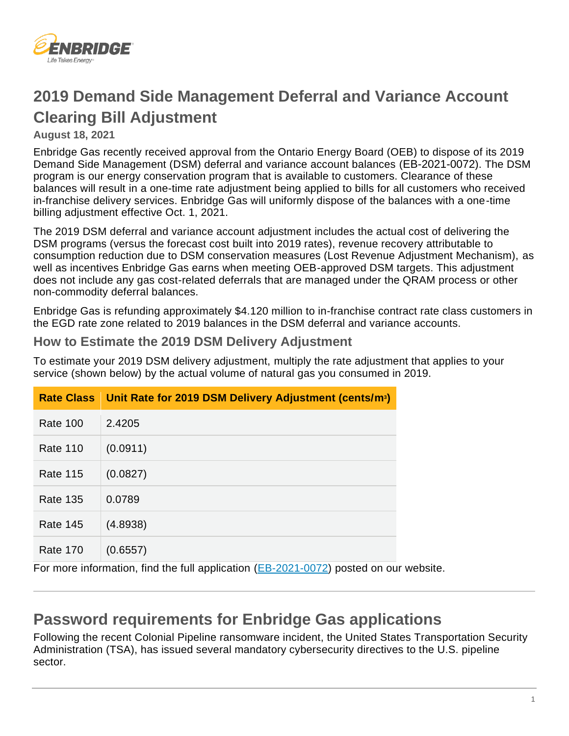

# **2019 Demand Side Management Deferral and Variance Account Clearing Bill Adjustment**

### **August 18, 2021**

Enbridge Gas recently received approval from the Ontario Energy Board (OEB) to dispose of its 2019 Demand Side Management (DSM) deferral and variance account balances ([EB-2021-0072](https://www.enbridgegas.com/about-enbridge-gas/regulatory)). The DSM program is our energy conservation program that is available to customers. Clearance of these balances will result in a one-time rate adjustment being applied to bills for all customers who received in-franchise delivery services. Enbridge Gas will uniformly dispose of the balances with a one-time billing adjustment effective Oct. 1, 2021.

The 2019 DSM deferral and variance account adjustment includes the actual cost of delivering the DSM programs (versus the forecast cost built into 2019 rates), revenue recovery attributable to consumption reduction due to DSM conservation measures (Lost Revenue Adjustment Mechanism), as well as incentives Enbridge Gas earns when meeting OEB-approved DSM targets. This adjustment does not include any gas cost-related deferrals that are managed under the QRAM process or other non-commodity deferral balances.

Enbridge Gas is refunding approximately \$4.120 million to in-franchise contract rate class customers in the EGD rate zone related to 2019 balances in the DSM deferral and variance accounts.

### **How to Estimate the 2019 DSM Delivery Adjustment**

To estimate your 2019 DSM delivery adjustment, multiply the rate adjustment that applies to your service (shown below) by the actual volume of natural gas you consumed in 2019.

|                 | Rate Class Unit Rate for 2019 DSM Delivery Adjustment (cents/m <sup>3</sup> ) |
|-----------------|-------------------------------------------------------------------------------|
| <b>Rate 100</b> | 2.4205                                                                        |
| <b>Rate 110</b> | (0.0911)                                                                      |
| <b>Rate 115</b> | (0.0827)                                                                      |
| <b>Rate 135</b> | 0.0789                                                                        |
| <b>Rate 145</b> | (4.8938)                                                                      |
| <b>Rate 170</b> | (0.6557)<br><br>. .<br>(0.001)<br>.<br>.                                      |

For more information, find the full application [\(EB-2021-0072\)](https://www.enbridgegas.com/about-enbridge-gas/regulatory) posted on our website.

### **Password requirements for Enbridge Gas applications**

Following the recent Colonial Pipeline ransomware incident, the United States Transportation Security Administration (TSA), has issued several mandatory cybersecurity directives to the U.S. pipeline sector.